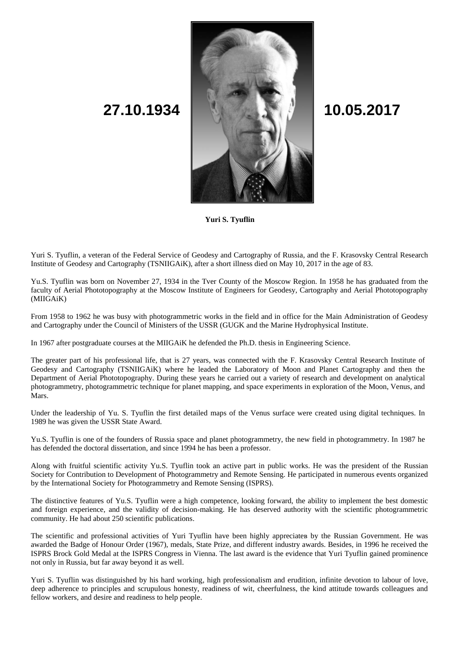

**Yuri S. Tyuflin**

Yuri S. Tyuflin, a veteran of the Federal Service of Geodesy and Cartography of Russia, and the F. Krasovsky Central Research Institute of Geodesy and Cartography (TSNIIGAiK), after a short illness died on May 10, 2017 in the age of 83.

Yu.S. Tyuflin was born on November 27, 1934 in the Tver County of the Moscow Region. In 1958 he has graduated from the faculty of Aerial Phototopography at the Moscow Institute of Engineers for Geodesy, Cartography and Aerial Phototopography (MIIGAiK)

From 1958 to 1962 he was busy with photogrammetric works in the field and in office for the Main Administration of Geodesy and Cartography under the Council of Ministers of the USSR (GUGK and the Marine Hydrophysical Institute.

In 1967 after postgraduate courses at the MIIGAiK he defended the Ph.D. thesis in Engineering Science.

The greater part of his professional life, that is 27 years, was connected with the F. Krasovsky Central Research Institute of Geodesy and Cartography (TSNIIGAiK) where he leaded the Laboratory of Moon and Planet Cartography and then the Department of Aerial Phototopography. During these years he carried out a variety of research and development on analytical photogrammetry, photogrammetric technique for planet mapping, and space experiments in exploration of the Moon, Venus, and Mars.

Under the leadership of Yu. S. Tyuflin the first detailed maps of the Venus surface were created using digital techniques. In 1989 he was given the USSR State Award.

Yu.S. Tyuflin is one of the founders of Russia space and planet photogrammetry, the new field in photogrammetry. In 1987 he has defended the doctoral dissertation, and since 1994 he has been a professor.

Along with fruitful scientific activity Yu.S. Tyuflin took an active part in public works. He was the president of the Russian Society for Contribution to Development of Photogrammetry and Remote Sensing. He participated in numerous events organized by the International Society for Photogrammetry and Remote Sensing (ISPRS).

The distinctive features of Yu.S. Tyuflin were a high competence, looking forward, the ability to implement the best domestic and foreign experience, and the validity of decision-making. He has deserved authority with the scientific photogrammetric community. He had about 250 scientific publications.

The scientific and professional activities of Yuri Tyuflin have been highly appreciateв by the Russian Government. He was awarded the Badge of Honour Order (1967), medals, State Prize, and different industry awards. Besides, in 1996 he received the ISPRS Brock Gold Medal at the ISPRS Congress in Vienna. The last award is the evidence that Yuri Tyuflin gained prominence not only in Russia, but far away beyond it as well.

Yuri S. Tyuflin was distinguished by his hard working, high professionalism and erudition, infinite devotion to labour of love, deep adherence to principles and scrupulous honesty, readiness of wit, cheerfulness, the kind attitude towards colleagues and fellow workers, and desire and readiness to help people.